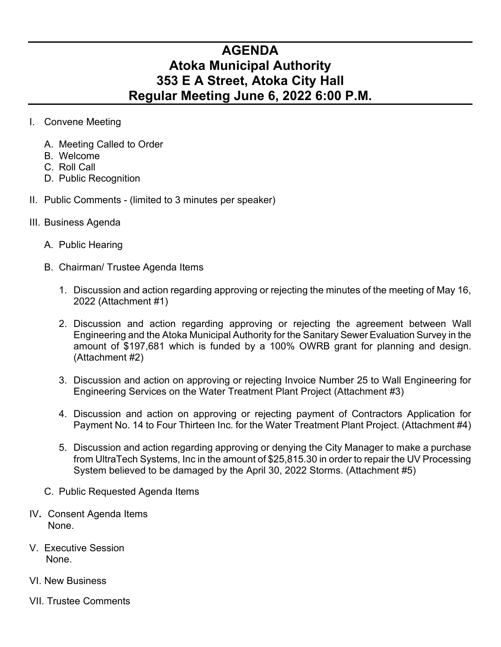## **AGENDA Atoka Municipal Authority 353 E A Street, Atoka City Hall Regular Meeting June 6, 2022 6:00 P.M.**

- I. Convene Meeting
	- A. Meeting Called to Order
	- B. Welcome
	- C. Roll Call
	- D. Public Recognition
- II. Public Comments (limited to 3 minutes per speaker)
- III. Business Agenda
	- A. Public Hearing
	- B. Chairman/ Trustee Agenda Items
		- 1. Discussion and action regarding approving or rejecting the minutes of the meeting of May 16, 2022 (Attachment #1)
		- 2. Discussion and action regarding approving or rejecting the agreement between Wall Engineering and the Atoka Municipal Authority for the Sanitary Sewer Evaluation Survey in the amount of \$197,681 which is funded by a 100% OWRB grant for planning and design. (Attachment #2)
		- 3. Discussion and action on approving or rejecting Invoice Number 25 to Wall Engineering for Engineering Services on the Water Treatment Plant Project (Attachment #3)
		- 4. Discussion and action on approving or rejecting payment of Contractors Application for Payment No. 14 to Four Thirteen Inc. for the Water Treatment Plant Project. (Attachment #4)
		- 5. Discussion and action regarding approving or denying the City Manager to make a purchase from UltraTech Systems, Inc in the amount of \$25,815.30 in order to repair the UV Processing System believed to be damaged by the April 30, 2022 Storms. (Attachment #5)
	- C. Public Requested Agenda Items
- IV**.** Consent Agenda Items None.
- V. Executive Session None.
- VI. New Business
- VII. Trustee Comments